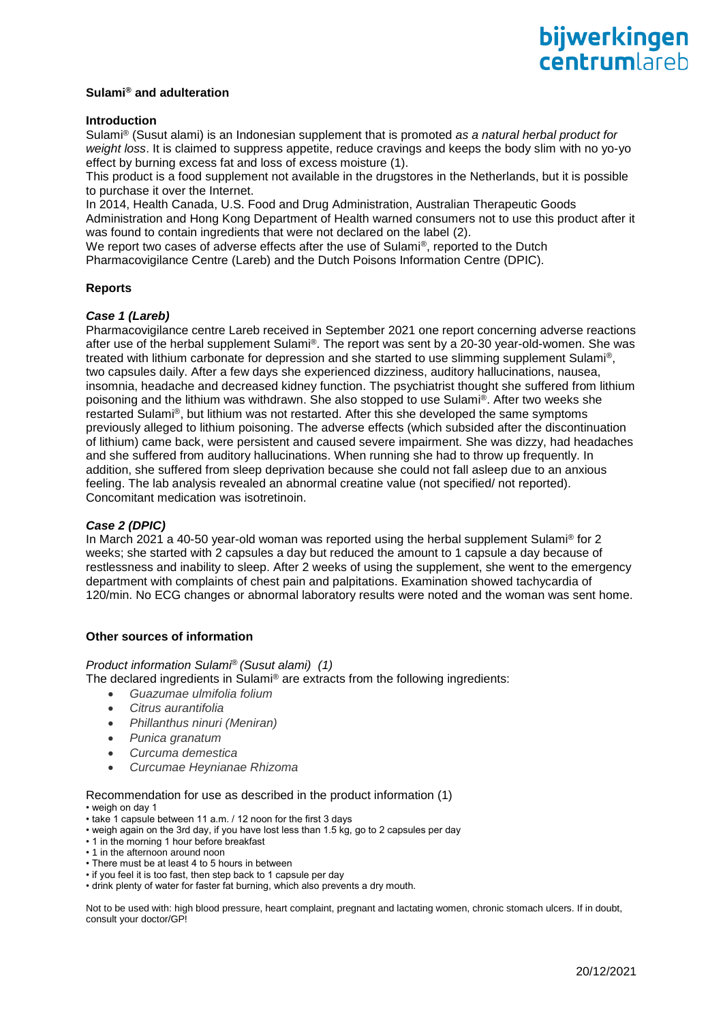# **Sulami® and adulteration**

# **Introduction**

Sulami® (Susut alami) is an Indonesian supplement that is promoted *as a natural herbal product for weight loss*. It is claimed to suppress appetite, reduce cravings and keeps the body slim with no yo-yo effect by burning excess fat and loss of excess moisture (1).

This product is a food supplement not available in the drugstores in the Netherlands, but it is possible to purchase it over the Internet.

In 2014, Health Canada, U.S. Food and Drug Administration, Australian Therapeutic Goods Administration and Hong Kong Department of Health warned consumers not to use this product after it was found to contain ingredients that were not declared on the label (2).

We report two cases of adverse effects after the use of Sulami®, reported to the Dutch

Pharmacovigilance Centre (Lareb) and the Dutch Poisons Information Centre (DPIC).

# **Reports**

# *Case 1 (Lareb)*

Pharmacovigilance centre Lareb received in September 2021 one report concerning adverse reactions after use of the herbal supplement Sulami®. The report was sent by a 20-30 year-old-women. She was treated with lithium carbonate for depression and she started to use slimming supplement Sulami®, two capsules daily. After a few days she experienced dizziness, auditory hallucinations, nausea, insomnia, headache and decreased kidney function. The psychiatrist thought she suffered from lithium poisoning and the lithium was withdrawn. She also stopped to use Sulami®. After two weeks she restarted Sulami®, but lithium was not restarted. After this she developed the same symptoms previously alleged to lithium poisoning. The adverse effects (which subsided after the discontinuation of lithium) came back, were persistent and caused severe impairment. She was dizzy, had headaches and she suffered from auditory hallucinations. When running she had to throw up frequently. In addition, she suffered from sleep deprivation because she could not fall asleep due to an anxious feeling. The lab analysis revealed an abnormal creatine value (not specified/ not reported). Concomitant medication was isotretinoin.

# *Case 2 (DPIC)*

In March 2021 a 40-50 year-old woman was reported using the herbal supplement Sulami® for 2 weeks; she started with 2 capsules a day but reduced the amount to 1 capsule a day because of restlessness and inability to sleep. After 2 weeks of using the supplement, she went to the emergency department with complaints of chest pain and palpitations. Examination showed tachycardia of 120/min. No ECG changes or abnormal laboratory results were noted and the woman was sent home.

# **Other sources of information**

# *Product information Sulami*® *(Susut alami) (1)*

The declared ingredients in Sulami® are extracts from the following ingredients:

- *Guazumae ulmifolia folium*
- *Citrus aurantifolia*
- *Phillanthus ninuri (Meniran)*
- *Punica granatum*
- *Curcuma demestica*
- *Curcumae Heynianae Rhizoma*

Recommendation for use as described in the product information (1) • weigh on day 1

- take 1 capsule between 11 a.m. / 12 noon for the first 3 days
- weigh again on the 3rd day, if you have lost less than 1.5 kg, go to 2 capsules per day
- 1 in the morning 1 hour before breakfast
- 1 in the afternoon around noon
- There must be at least 4 to 5 hours in between
- if you feel it is too fast, then step back to 1 capsule per day • drink plenty of water for faster fat burning, which also prevents a dry mouth.

Not to be used with: high blood pressure, heart complaint, pregnant and lactating women, chronic stomach ulcers. If in doubt, consult your doctor/GP!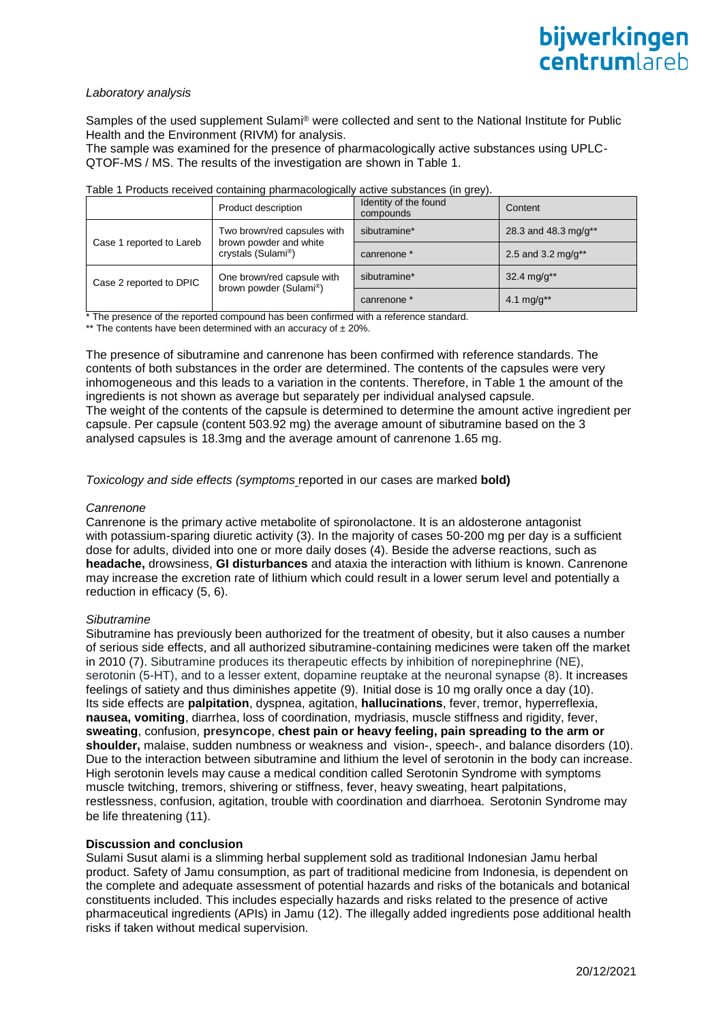# *Laboratory analysis*

Samples of the used supplement Sulami® were collected and sent to the National Institute for Public Health and the Environment (RIVM) for analysis.

The sample was examined for the presence of pharmacologically active substances using UPLC-QTOF-MS / MS. The results of the investigation are shown in Table 1.

| Table T Products received containing priarmacologically active substances (in grey). |                                                                                          |                                    |                          |
|--------------------------------------------------------------------------------------|------------------------------------------------------------------------------------------|------------------------------------|--------------------------|
|                                                                                      | Product description                                                                      | Identity of the found<br>compounds | Content                  |
| Case 1 reported to Lareb                                                             | Two brown/red capsules with<br>brown powder and white<br>crystals (Sulami <sup>®</sup> ) | sibutramine*                       | 28.3 and 48.3 mg/g**     |
|                                                                                      |                                                                                          | canrenone *                        | 2.5 and 3.2 mg/g**       |
| Case 2 reported to DPIC                                                              | One brown/red capsule with<br>brown powder (Sulami <sup>®</sup> )                        | sibutramine*                       | $32.4 \text{ mg/q}^{**}$ |
|                                                                                      |                                                                                          | canrenone *                        | 4.1 mg/g**               |

#### Table 1 Products received containing pharmacologically active substances (in grey).

The presence of the reported compound has been confirmed with a reference standard.

\*\* The contents have been determined with an accuracy of  $\pm 20\%$ .

The presence of sibutramine and canrenone has been confirmed with reference standards. The contents of both substances in the order are determined. The contents of the capsules were very inhomogeneous and this leads to a variation in the contents. Therefore, in Table 1 the amount of the ingredients is not shown as average but separately per individual analysed capsule. The weight of the contents of the capsule is determined to determine the amount active ingredient per capsule. Per capsule (content 503.92 mg) the average amount of sibutramine based on the 3 analysed capsules is 18.3mg and the average amount of canrenone 1.65 mg.

# *Toxicology and side effects (symptoms* reported in our cases are marked **bold)**

#### *Canrenone*

Canrenone is the primary active metabolite of [spironolactone.](https://pubchem.ncbi.nlm.nih.gov/compound/spironolactone) It is an [aldosterone](https://pubchem.ncbi.nlm.nih.gov/compound/aldosterone) antagonist with [potassium-](https://pubchem.ncbi.nlm.nih.gov/element/Potassium)sparing diuretic activity (3). In the majority of cases 50-200 mg per day is a sufficient dose for adults, divided into one or more daily doses (4). Beside the adverse reactions, such as **headache,** drowsiness, **GI disturbances** and ataxia the interaction with lithium is known. Canrenone may increase the excretion rate of lithium which could result in a lower serum level and potentially a reduction in efficacy (5, 6).

# *Sibutramine*

Sibutramine has previously been authorized for the treatment of obesity, but it also causes a number of serious side effects, and all authorized sibutramine-containing medicines were taken off the market in 2010 (7). Sibutramine produces its therapeutic effects by inhibition of norepinephrine (NE), serotonin (5-HT), and to a lesser extent, dopamine reuptake at the neuronal synapse (8). It increases feelings of satiety and thus diminishes appetite (9). Initial dose is 10 mg orally once a day (10). Its side effects are **palpitation**, dyspnea, agitation, **hallucinations**, fever, tremor, hyperreflexia, **nausea, vomiting**, diarrhea, loss of coordination, mydriasis, muscle stiffness and rigidity, fever, **sweating**, confusion, **presyncope**, **chest pain or heavy feeling, pain spreading to the arm or shoulder,** malaise, sudden numbness or weakness and vision-, speech-, and balance disorders (10). Due to the interaction between sibutramine and lithium the level of serotonin in the body can increase. High serotonin levels may cause a medical condition called Serotonin Syndrome with symptoms muscle twitching, tremors, shivering or stiffness, fever, heavy sweating, heart palpitations, restlessness, confusion, agitation, trouble with coordination and diarrhoea. Serotonin Syndrome may be life threatening (11).

# **Discussion and conclusion**

Sulami Susut alami is a slimming herbal supplement sold as traditional Indonesian Jamu herbal product. Safety of Jamu consumption, as part of traditional medicine from Indonesia, is dependent on the complete and adequate assessment of potential hazards and risks of the botanicals and botanical constituents included. This includes especially hazards and risks related to the presence of active pharmaceutical ingredients (APIs) in Jamu (12). The illegally added ingredients pose additional health risks if taken without medical supervision.